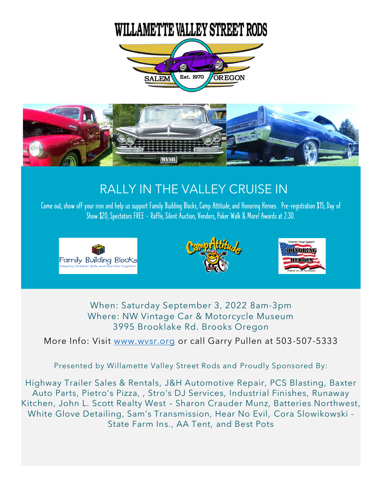## **WILLAMETTE VALLEY STREET RODS**





## RALLY IN THE VALLEY CRUISE IN

Come out, show off your iron and help us support Family Building Blocks, Camp Attitude, and Honoring Heroes. Pre-registration \$15, Day of Show \$20, Spectators FREE - Raffle, Silent Auction, Vendors, Poker Walk & More! Awards at 2:30.







When: Saturday September 3, 2022 8am-3pm Where: NW Vintage Car & Motorcycle Museum 3995 Brooklake Rd. Brooks Oregon

More Info: Visit [www.wvsr.org](http://www.wvsr.org/) or call Garry Pullen at 503-507-5333

Presented by Willamette Valley Street Rods and Proudly Sponsored By:

Highway Trailer Sales & Rentals, J&H Automotive Repair, PCS Blasting, Baxter Auto Parts, Pietro's Pizza, , Stro's DJ Services, Industrial Finishes, Runaway Kitchen, John L. Scott Realty West – Sharon Crauder Munz, Batteries Northwest, White Glove Detailing, Sam's Transmission, Hear No Evil, Cora Slowikowski - State Farm Ins., AA Tent, and Best Pots